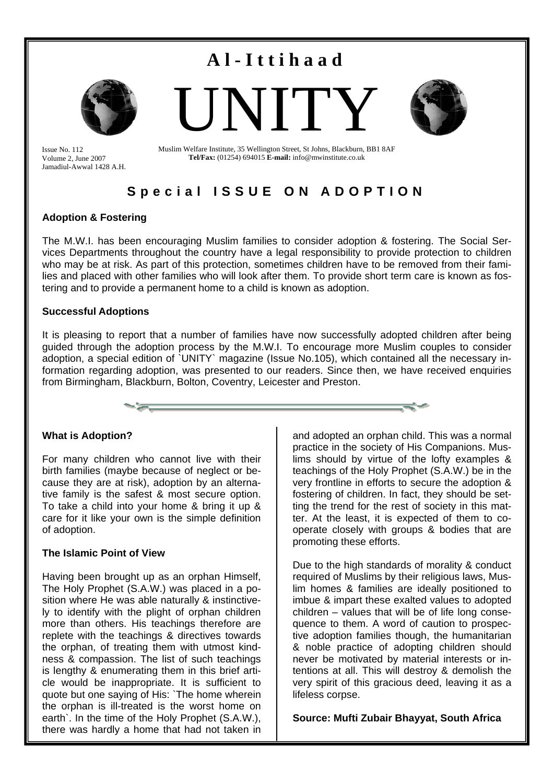### **Al-Ittihaad**



Issue No. 112 Volume 2, June 2007 Jamadiul-Awwal 1428 A.H. Muslim Welfare Institute, 35 Wellington Street, St Johns, Blackburn, BB1 8AF **Tel/Fax:** (01254) 694015 **E-mail:** info@mwinstitute.co.uk

UNITY

### **Special ISSUE ON ADOPTION**

### **Adoption & Fostering**

The M.W.I. has been encouraging Muslim families to consider adoption & fostering. The Social Services Departments throughout the country have a legal responsibility to provide protection to children who may be at risk. As part of this protection, sometimes children have to be removed from their families and placed with other families who will look after them. To provide short term care is known as fostering and to provide a permanent home to a child is known as adoption.

#### **Successful Adoptions**

It is pleasing to report that a number of families have now successfully adopted children after being guided through the adoption process by the M.W.I. To encourage more Muslim couples to consider adoption, a special edition of `UNITY` magazine (Issue No.105), which contained all the necessary information regarding adoption, was presented to our readers. Since then, we have received enquiries from Birmingham, Blackburn, Bolton, Coventry, Leicester and Preston.



#### **What is Adoption?**

For many children who cannot live with their birth families (maybe because of neglect or because they are at risk), adoption by an alternative family is the safest & most secure option. To take a child into your home & bring it up & care for it like your own is the simple definition of adoption.

### **The Islamic Point of View**

Having been brought up as an orphan Himself, The Holy Prophet (S.A.W.) was placed in a position where He was able naturally & instinctively to identify with the plight of orphan children more than others. His teachings therefore are replete with the teachings & directives towards the orphan, of treating them with utmost kindness & compassion. The list of such teachings is lengthy & enumerating them in this brief article would be inappropriate. It is sufficient to quote but one saying of His: `The home wherein the orphan is ill-treated is the worst home on earth`. In the time of the Holy Prophet (S.A.W.), there was hardly a home that had not taken in

and adopted an orphan child. This was a normal practice in the society of His Companions. Muslims should by virtue of the lofty examples & teachings of the Holy Prophet (S.A.W.) be in the very frontline in efforts to secure the adoption & fostering of children. In fact, they should be setting the trend for the rest of society in this matter. At the least, it is expected of them to cooperate closely with groups & bodies that are promoting these efforts.

Due to the high standards of morality & conduct required of Muslims by their religious laws, Muslim homes & families are ideally positioned to imbue & impart these exalted values to adopted children – values that will be of life long consequence to them. A word of caution to prospective adoption families though, the humanitarian & noble practice of adopting children should never be motivated by material interests or intentions at all. This will destroy & demolish the very spirit of this gracious deed, leaving it as a lifeless corpse.

**Source: Mufti Zubair Bhayyat, South Africa** 

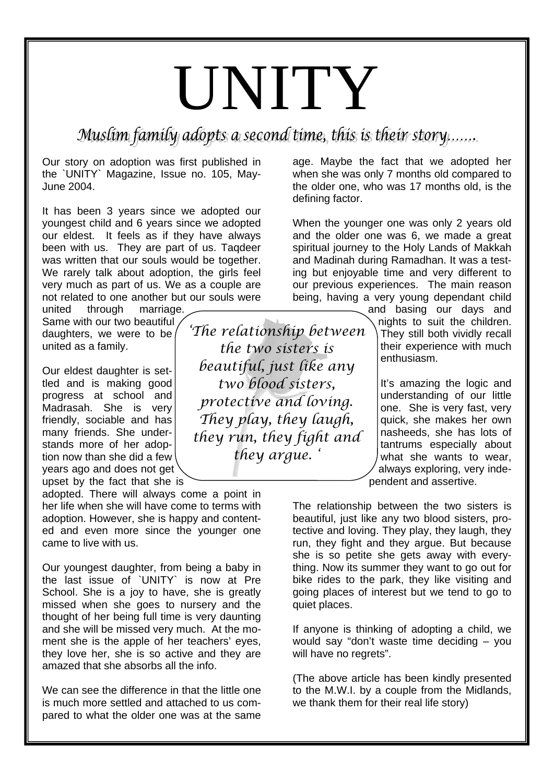### UNITY

Muslim family adopts a second time, this is their story.......

Our story on adoption was first published in the `UNITY` Magazine, Issue no. 105, May-June 2004.

It has been 3 years since we adopted our youngest child and 6 years since we adopted our eldest. It feels as if they have always been with us. They are part of us. Taqdeer was written that our souls would be together. We rarely talk about adoption, the girls feel very much as part of us. We as a couple are not related to one another but our souls were

united through marriage. Same with our two beautiful daughters, we were to be united as a family.

Our eldest daughter is settled and is making good progress at school and Madrasah. She is very friendly, sociable and has many friends. She understands more of her adoption now than she did a few years ago and does not get upset by the fact that she is

adopted. There will always come a point in her life when she will have come to terms with adoption. However, she is happy and contented and even more since the younger one came to live with us.

Our youngest daughter, from being a baby in the last issue of `UNITY` is now at Pre School. She is a joy to have, she is greatly missed when she goes to nursery and the thought of her being full time is very daunting and she will be missed very much. At the moment she is the apple of her teachers' eyes, they love her, she is so active and they are amazed that she absorbs all the info.

We can see the difference in that the little one is much more settled and attached to us compared to what the older one was at the same age. Maybe the fact that we adopted her when she was only 7 months old compared to the older one, who was 17 months old, is the defining factor.

When the younger one was only 2 years old and the older one was 6, we made a great spiritual journey to the Holy Lands of Makkah and Madinah during Ramadhan. It was a testing but enjoyable time and very different to our previous experiences. The main reason being, having a very young dependant child

> and basing our days and nights to suit the children. They still both vividly recall their experience with much enthusiasm.

> It's amazing the logic and understanding of our little one. She is very fast, very quick, she makes her own nasheeds, she has lots of tantrums especially about what she wants to wear, always exploring, very independent and assertive.

The relationship between the two sisters is beautiful, just like any two blood sisters, protective and loving. They play, they laugh, they run, they fight and they argue. But because she is so petite she gets away with everything. Now its summer they want to go out for bike rides to the park, they like visiting and going places of interest but we tend to go to quiet places.

If anyone is thinking of adopting a child, we would say "don't waste time deciding – you will have no regrets".

(The above article has been kindly presented to the M.W.I. by a couple from the Midlands, we thank them for their real life story)

*'The relationship between the two sisters is beautiful, just like any two blood sisters, protective and loving. They play, they laugh, they run, they fight and they argue. '*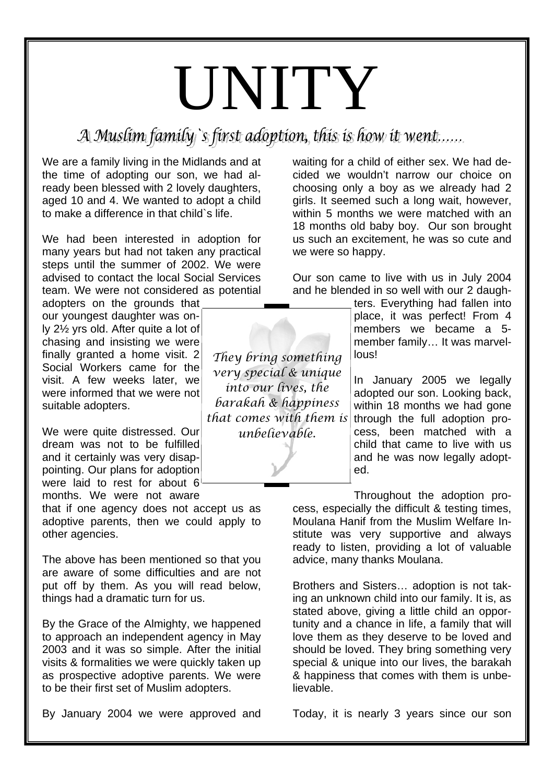## UNITY

A Muslim family `s finst adoption, this is how it went......

We are a family living in the Midlands and at the time of adopting our son, we had already been blessed with 2 lovely daughters, aged 10 and 4. We wanted to adopt a child to make a difference in that child`s life.

We had been interested in adoption for many years but had not taken any practical steps until the summer of 2002. We were advised to contact the local Social Services team. We were not considered as potential

adopters on the grounds that our youngest daughter was only 2½ yrs old. After quite a lot of chasing and insisting we were finally granted a home visit. 2 Social Workers came for the visit. A few weeks later, we were informed that we were not suitable adopters.

We were quite distressed. Our dream was not to be fulfilled and it certainly was very disappointing. Our plans for adoption were laid to rest for about 6 months. We were not aware

that if one agency does not accept us as adoptive parents, then we could apply to other agencies.

The above has been mentioned so that you are aware of some difficulties and are not put off by them. As you will read below, things had a dramatic turn for us.

By the Grace of the Almighty, we happened to approach an independent agency in May 2003 and it was so simple. After the initial visits & formalities we were quickly taken up as prospective adoptive parents. We were to be their first set of Muslim adopters.

By January 2004 we were approved and

*They bring something very special & unique into our lives, the barakah & happiness that comes with them is unbelievable.* 

waiting for a child of either sex. We had decided we wouldn't narrow our choice on choosing only a boy as we already had 2 girls. It seemed such a long wait, however, within 5 months we were matched with an 18 months old baby boy. Our son brought us such an excitement, he was so cute and we were so happy.

Our son came to live with us in July 2004 and he blended in so well with our 2 daugh-

> ters. Everything had fallen into place, it was perfect! From 4 members we became a 5 member family… It was marvellous!

> In January 2005 we legally adopted our son. Looking back, within 18 months we had gone through the full adoption process, been matched with a child that came to live with us and he was now legally adopted.

Throughout the adoption process, especially the difficult & testing times, Moulana Hanif from the Muslim Welfare Institute was very supportive and always ready to listen, providing a lot of valuable advice, many thanks Moulana.

Brothers and Sisters… adoption is not taking an unknown child into our family. It is, as stated above, giving a little child an opportunity and a chance in life, a family that will love them as they deserve to be loved and should be loved. They bring something very special & unique into our lives, the barakah & happiness that comes with them is unbelievable.

Today, it is nearly 3 years since our son